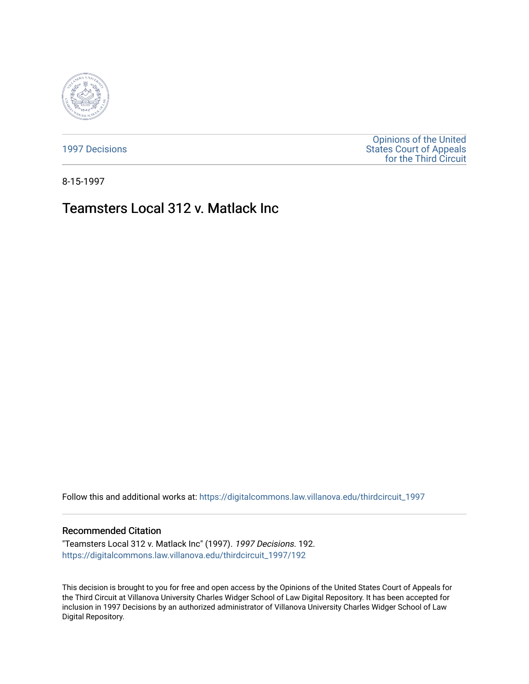

[1997 Decisions](https://digitalcommons.law.villanova.edu/thirdcircuit_1997)

[Opinions of the United](https://digitalcommons.law.villanova.edu/thirdcircuit)  [States Court of Appeals](https://digitalcommons.law.villanova.edu/thirdcircuit)  [for the Third Circuit](https://digitalcommons.law.villanova.edu/thirdcircuit) 

8-15-1997

## Teamsters Local 312 v. Matlack Inc

Follow this and additional works at: [https://digitalcommons.law.villanova.edu/thirdcircuit\\_1997](https://digitalcommons.law.villanova.edu/thirdcircuit_1997?utm_source=digitalcommons.law.villanova.edu%2Fthirdcircuit_1997%2F192&utm_medium=PDF&utm_campaign=PDFCoverPages) 

## Recommended Citation

"Teamsters Local 312 v. Matlack Inc" (1997). 1997 Decisions. 192. [https://digitalcommons.law.villanova.edu/thirdcircuit\\_1997/192](https://digitalcommons.law.villanova.edu/thirdcircuit_1997/192?utm_source=digitalcommons.law.villanova.edu%2Fthirdcircuit_1997%2F192&utm_medium=PDF&utm_campaign=PDFCoverPages)

This decision is brought to you for free and open access by the Opinions of the United States Court of Appeals for the Third Circuit at Villanova University Charles Widger School of Law Digital Repository. It has been accepted for inclusion in 1997 Decisions by an authorized administrator of Villanova University Charles Widger School of Law Digital Repository.